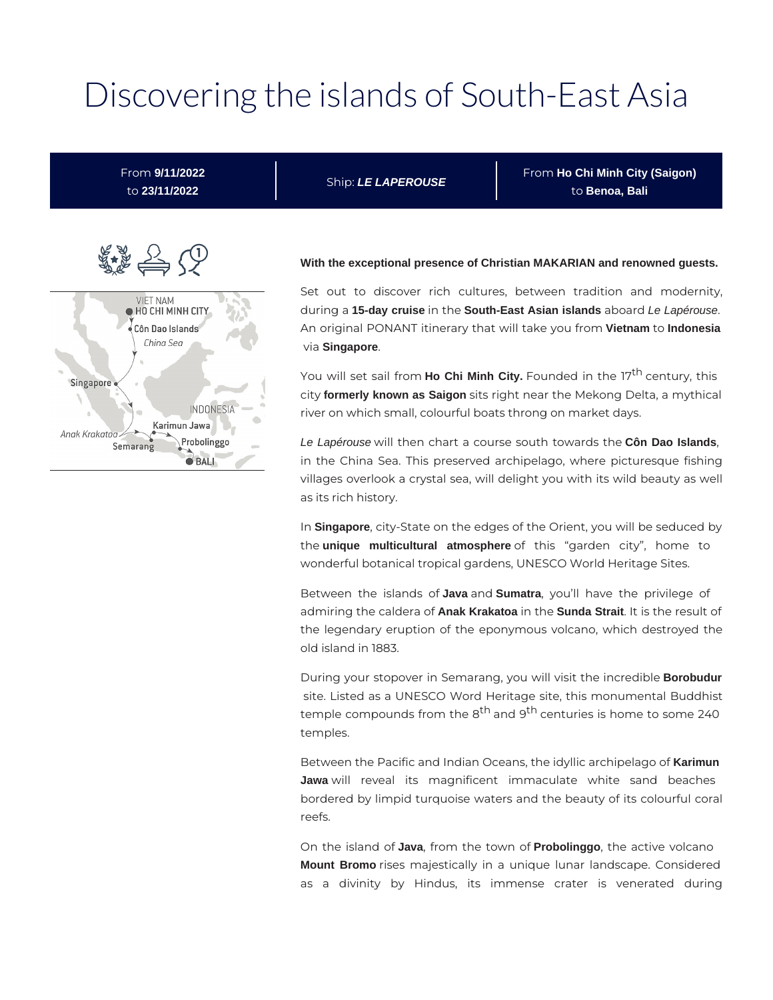# Discovering the islands of South-East Asia

From **9/11/2022** to **23/11/2022**

Ship: **LE LAPEROUSE**

From **Ho Chi Minh City (Saigon)** to **Benoa, Bali**



#### **With the exceptional presence of Christian MAKARIAN and renowned guests.**

Set out to discover rich cultures, between tradition and modernity, during a **15-day cruise** in the **South-East Asian islands** aboard Le Lapérouse. An original PONANT itinerary that will take you from **Vietnam** to **Indonesia** via **Singapore**.

You will set sail from **Ho Chi Minh City.** Founded in the 17<sup>th</sup> century, this city **formerly known as Saigon** sits right near the Mekong Delta, a mythical river on which small, colourful boats throng on market days.

Le Lapérouse will then chart a course south towards the **Côn Dao Islands**, in the China Sea. This preserved archipelago, where picturesque fishing villages overlook a crystal sea, will delight you with its wild beauty as well as its rich history.

In **Singapore**, city-State on the edges of the Orient, you will be seduced by the **unique multicultural atmosphere** of this "garden city", home to wonderful botanical tropical gardens, UNESCO World Heritage Sites.

Between the islands of **Java** and **Sumatra**, you'll have the privilege of admiring the caldera of **Anak Krakatoa** in the **Sunda Strait**. It is the result of the legendary eruption of the eponymous volcano, which destroyed the old island in 1883.

During your stopover in Semarang, you will visit the incredible **Borobudur** site. Listed as a UNESCO Word Heritage site, this monumental Buddhist temple compounds from the 8<sup>th</sup> and 9<sup>th</sup> centuries is home to some 240 temples.

Between the Pacific and Indian Oceans, the idyllic archipelago of **Karimun Jawa** will reveal its magnificent immaculate white sand beaches bordered by limpid turquoise waters and the beauty of its colourful coral reefs.

On the island of **Java**, from the town of **Probolinggo**, the active volcano **Mount Bromo** rises majestically in a unique lunar landscape. Considered as a divinity by Hindus, its immense crater is venerated during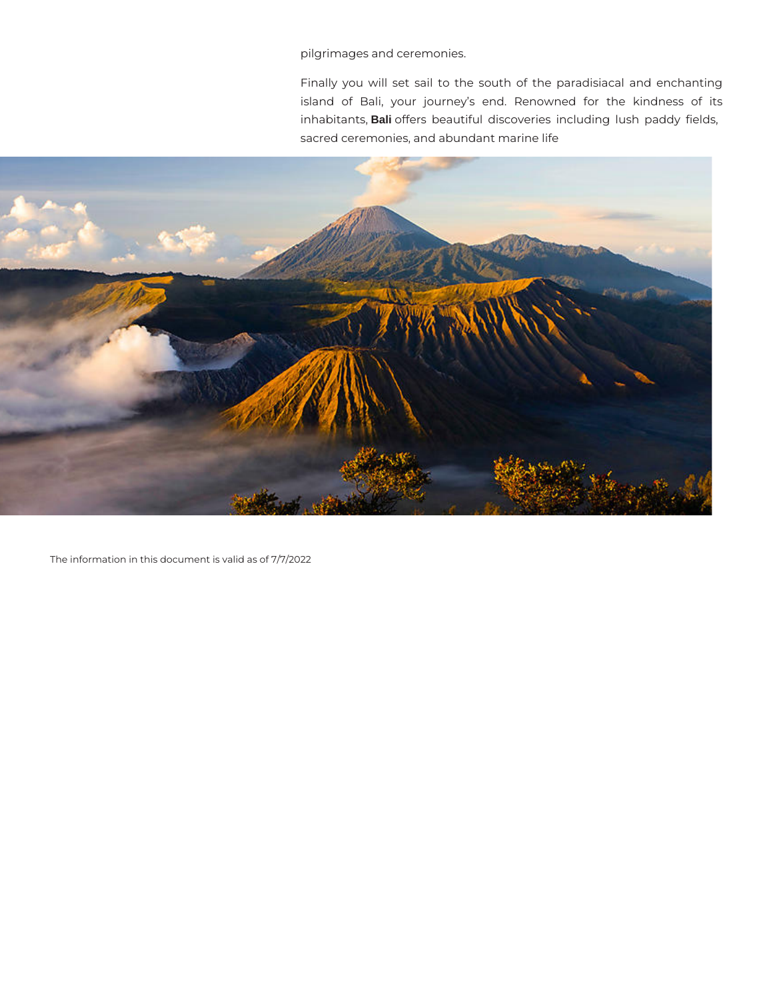pilgrimages and ceremonies.

Finally you will set sail to the south of the paradisiacal and enchanting island of Bali, your journey's end. Renowned for the kindness of its inhabitants, **Bali** offers beautiful discoveries including lush paddy fields, sacred ceremonies, and abundant marine life



The information in this document is valid as of 7/7/2022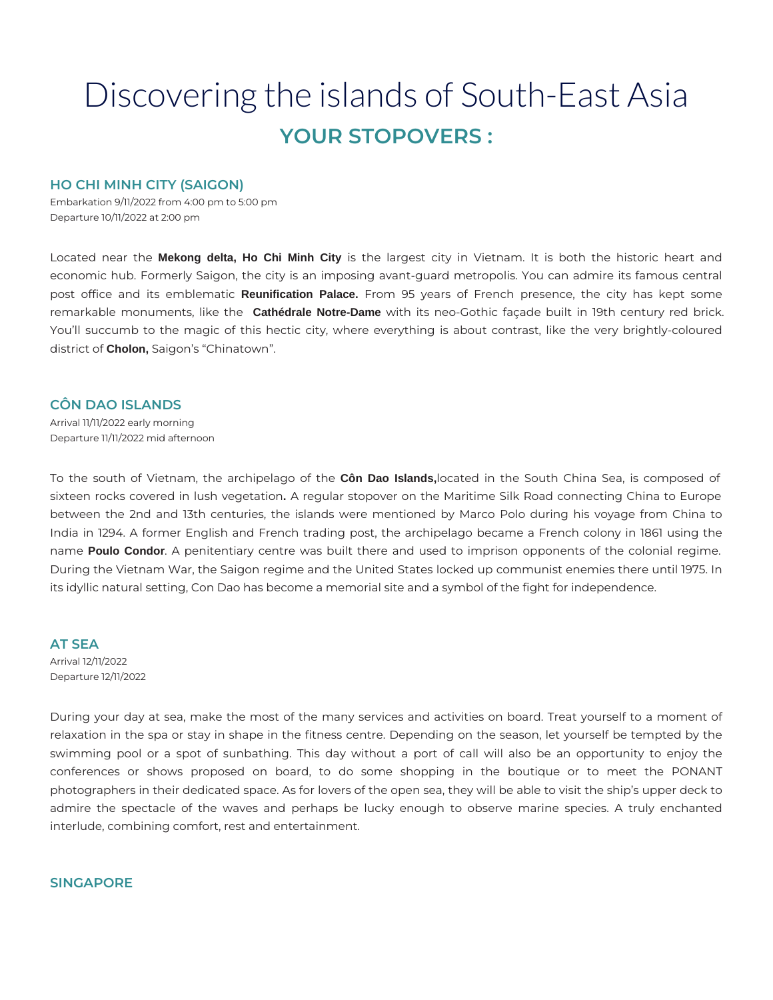# Discovering the islands of South-East Asia **YOUR STOPOVERS :**

# **HO CHI MINH CITY (SAIGON)**

Embarkation 9/11/2022 from 4:00 pm to 5:00 pm Departure 10/11/2022 at 2:00 pm

Located near the **Mekong delta, Ho Chi Minh City** is the largest city in Vietnam. It is both the historic heart and economic hub. Formerly Saigon, the city is an imposing avant-guard metropolis. You can admire its famous central post office and its emblematic **Reunification Palace.** From 95 years of French presence, the city has kept some remarkable monuments, like the **Cathédrale Notre-Dame** with its neo-Gothic façade built in 19th century red brick. You'll succumb to the magic of this hectic city, where everything is about contrast, like the very brightly-coloured district of **Cholon,** Saigon's "Chinatown".

# **CÔN DAO ISLANDS**

Arrival 11/11/2022 early morning Departure 11/11/2022 mid afternoon

To the south of Vietnam, the archipelago of the **Côn Dao Islands,**located in the South China Sea, is composed of sixteen rocks covered in lush vegetation**.** A regular stopover on the Maritime Silk Road connecting China to Europe between the 2nd and 13th centuries, the islands were mentioned by Marco Polo during his voyage from China to India in 1294. A former English and French trading post, the archipelago became a French colony in 1861 using the name **Poulo Condor**. A penitentiary centre was built there and used to imprison opponents of the colonial regime. During the Vietnam War, the Saigon regime and the United States locked up communist enemies there until 1975. In its idyllic natural setting, Con Dao has become a memorial site and a symbol of the fight for independence.

# **AT SEA**

Arrival 12/11/2022 Departure 12/11/2022

During your day at sea, make the most of the many services and activities on board. Treat yourself to a moment of relaxation in the spa or stay in shape in the fitness centre. Depending on the season, let yourself be tempted by the swimming pool or a spot of sunbathing. This day without a port of call will also be an opportunity to enjoy the conferences or shows proposed on board, to do some shopping in the boutique or to meet the PONANT photographers in their dedicated space. As for lovers of the open sea, they will be able to visit the ship's upper deck to admire the spectacle of the waves and perhaps be lucky enough to observe marine species. A truly enchanted interlude, combining comfort, rest and entertainment.

# **SINGAPORE**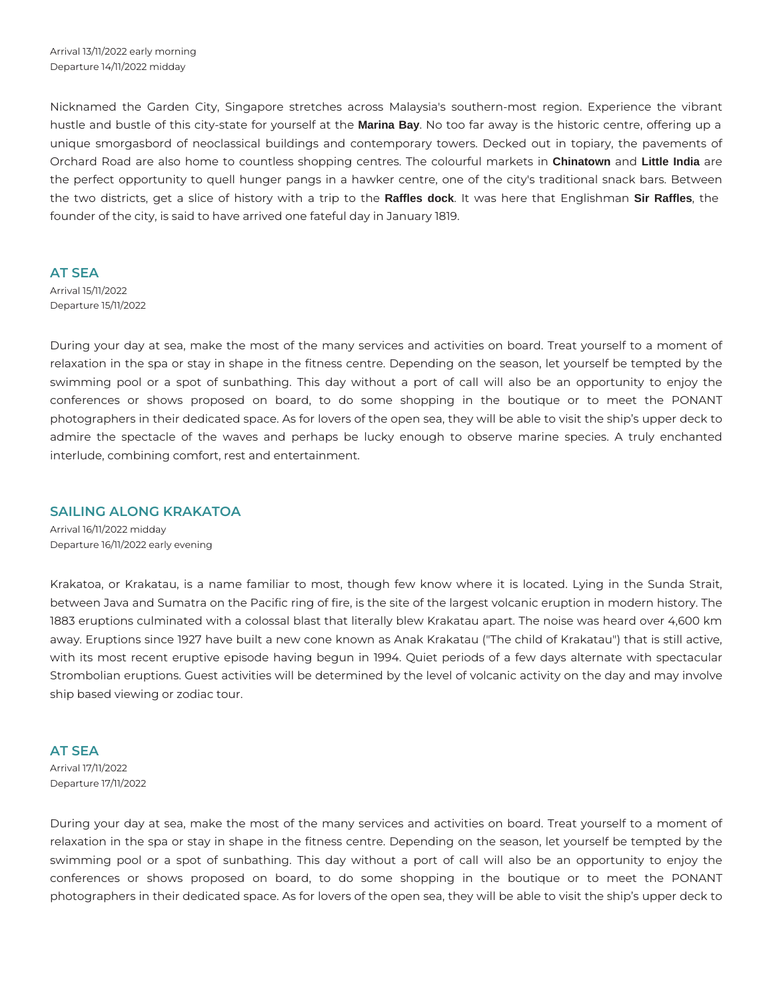Nicknamed the Garden City, Singapore stretches across Malaysia's southern-most region. Experience the vibrant hustle and bustle of this city-state for yourself at the **Marina Bay**. No too far away is the historic centre, offering up a unique smorgasbord of neoclassical buildings and contemporary towers. Decked out in topiary, the pavements of Orchard Road are also home to countless shopping centres. The colourful markets in **Chinatown** and **Little India** are the perfect opportunity to quell hunger pangs in a hawker centre, one of the city's traditional snack bars. Between the two districts, get a slice of history with a trip to the **Raffles dock**. It was here that Englishman **Sir Raffles**, the founder of the city, is said to have arrived one fateful day in January 1819.

## **AT SEA**

Arrival 15/11/2022 Departure 15/11/2022

During your day at sea, make the most of the many services and activities on board. Treat yourself to a moment of relaxation in the spa or stay in shape in the fitness centre. Depending on the season, let yourself be tempted by the swimming pool or a spot of sunbathing. This day without a port of call will also be an opportunity to enjoy the conferences or shows proposed on board, to do some shopping in the boutique or to meet the PONANT photographers in their dedicated space. As for lovers of the open sea, they will be able to visit the ship's upper deck to admire the spectacle of the waves and perhaps be lucky enough to observe marine species. A truly enchanted interlude, combining comfort, rest and entertainment.

# **SAILING ALONG KRAKATOA**

Arrival 16/11/2022 midday Departure 16/11/2022 early evening

Krakatoa, or Krakatau, is a name familiar to most, though few know where it is located. Lying in the Sunda Strait, between Java and Sumatra on the Pacific ring of fire, is the site of the largest volcanic eruption in modern history. The 1883 eruptions culminated with a colossal blast that literally blew Krakatau apart. The noise was heard over 4,600 km away. Eruptions since 1927 have built a new cone known as Anak Krakatau ("The child of Krakatau") that is still active, with its most recent eruptive episode having begun in 1994. Quiet periods of a few days alternate with spectacular Strombolian eruptions. Guest activities will be determined by the level of volcanic activity on the day and may involve ship based viewing or zodiac tour.

# **AT SEA**

Arrival 17/11/2022 Departure 17/11/2022

During your day at sea, make the most of the many services and activities on board. Treat yourself to a moment of relaxation in the spa or stay in shape in the fitness centre. Depending on the season, let yourself be tempted by the swimming pool or a spot of sunbathing. This day without a port of call will also be an opportunity to enjoy the conferences or shows proposed on board, to do some shopping in the boutique or to meet the PONANT photographers in their dedicated space. As for lovers of the open sea, they will be able to visit the ship's upper deck to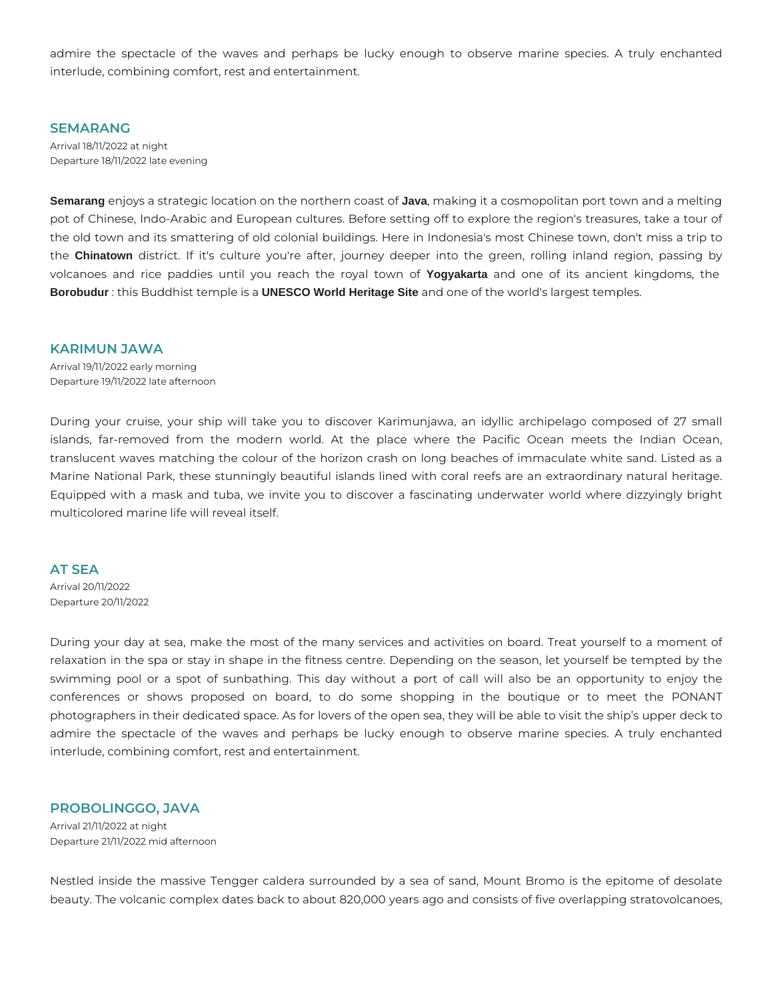admire the spectacle of the waves and perhaps be lucky enough to observe marine species. A truly enchanted interlude, combining comfort, rest and entertainment.

## **SEMARANG**

Arrival 18/11/2022 at night Departure 18/11/2022 late evening

**Semarang** enjoys a strategic location on the northern coast of **Java**, making it a cosmopolitan port town and a melting pot of Chinese, Indo-Arabic and European cultures. Before setting off to explore the region's treasures, take a tour of the old town and its smattering of old colonial buildings. Here in Indonesia's most Chinese town, don't miss a trip to the **Chinatown** district. If it's culture you're after, journey deeper into the green, rolling inland region, passing by volcanoes and rice paddies until you reach the royal town of **Yogyakarta** and one of its ancient kingdoms, the **Borobudur** : this Buddhist temple is a **UNESCO World Heritage Site** and one of the world's largest temples.

#### **KARIMUN JAWA**

Arrival 19/11/2022 early morning Departure 19/11/2022 late afternoon

During your cruise, your ship will take you to discover Karimunjawa, an idyllic archipelago composed of 27 small islands, far-removed from the modern world. At the place where the Pacific Ocean meets the Indian Ocean, translucent waves matching the colour of the horizon crash on long beaches of immaculate white sand. Listed as a Marine National Park, these stunningly beautiful islands lined with coral reefs are an extraordinary natural heritage. Equipped with a mask and tuba, we invite you to discover a fascinating underwater world where dizzyingly bright multicolored marine life will reveal itself.

## **AT SEA**

Arrival 20/11/2022 Departure 20/11/2022

During your day at sea, make the most of the many services and activities on board. Treat yourself to a moment of relaxation in the spa or stay in shape in the fitness centre. Depending on the season, let yourself be tempted by the swimming pool or a spot of sunbathing. This day without a port of call will also be an opportunity to enjoy the conferences or shows proposed on board, to do some shopping in the boutique or to meet the PONANT photographers in their dedicated space. As for lovers of the open sea, they will be able to visit the ship's upper deck to admire the spectacle of the waves and perhaps be lucky enough to observe marine species. A truly enchanted interlude, combining comfort, rest and entertainment.

# **PROBOLINGGO, JAVA**

Arrival 21/11/2022 at night Departure 21/11/2022 mid afternoon

Nestled inside the massive Tengger caldera surrounded by a sea of sand, Mount Bromo is the epitome of desolate beauty. The volcanic complex dates back to about 820,000 years ago and consists of five overlapping stratovolcanoes,